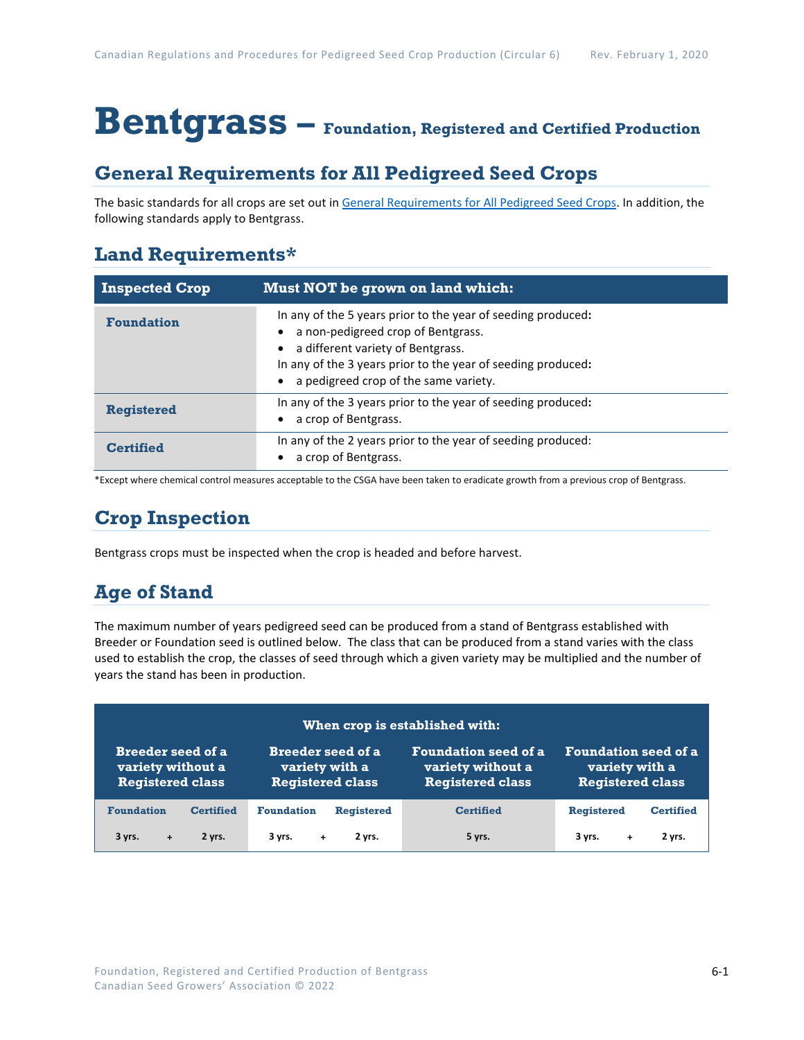# **Bentgrass – Foundation, Registered and Certified Production**

## **General Requirements for All Pedigreed Seed Crops**

The basic standards for all crops are set out i[n General Requirements for All Pedigreed Seed](https://seedgrowers.ca/wp-content/uploads/2020/01/GENERAL-REQUIREMENTS-ALL-CROPS_EN.pdf) Crops. In addition, the following standards apply to Bentgrass.

## **Land Requirements\***

| <b>Inspected Crop</b> | Must NOT be grown on land which:                                                                                                                                                                                                                 |
|-----------------------|--------------------------------------------------------------------------------------------------------------------------------------------------------------------------------------------------------------------------------------------------|
| <b>Foundation</b>     | In any of the 5 years prior to the year of seeding produced:<br>a non-pedigreed crop of Bentgrass.<br>a different variety of Bentgrass.<br>In any of the 3 years prior to the year of seeding produced:<br>a pedigreed crop of the same variety. |
| <b>Registered</b>     | In any of the 3 years prior to the year of seeding produced:<br>a crop of Bentgrass.                                                                                                                                                             |
| <b>Certified</b>      | In any of the 2 years prior to the year of seeding produced:<br>a crop of Bentgrass.                                                                                                                                                             |

\*Except where chemical control measures acceptable to the CSGA have been taken to eradicate growth from a previous crop of Bentgrass.

# **Crop Inspection**

Bentgrass crops must be inspected when the crop is headed and before harvest.

## **Age of Stand**

The maximum number of years pedigreed seed can be produced from a stand of Bentgrass established with Breeder or Foundation seed is outlined below. The class that can be produced from a stand varies with the class used to establish the crop, the classes of seed through which a given variety may be multiplied and the number of years the stand has been in production.

| When crop is established with: |                          |                             |                             |  |
|--------------------------------|--------------------------|-----------------------------|-----------------------------|--|
| <b>Breeder seed of a</b>       | <b>Breeder seed of a</b> | <b>Foundation seed of a</b> | <b>Foundation seed of a</b> |  |
| variety without a              | variety with a           | variety without a           | variety with a              |  |
| <b>Registered class</b>        | <b>Registered class</b>  | <b>Registered class</b>     | <b>Registered class</b>     |  |
| <b>Foundation</b>              | <b>Foundation</b>        | <b>Certified</b>            | <b>Registered</b>           |  |
| <b>Certified</b>               | <b>Registered</b>        |                             | <b>Certified</b>            |  |
| 3 yrs.                         | 2 yrs.                   | 5 yrs.                      | 2 yrs.                      |  |
| 2 yrs.                         | 3 yrs.                   |                             | 3 yrs.                      |  |
| $\ddot{\phantom{1}}$           | $+$                      |                             | ÷                           |  |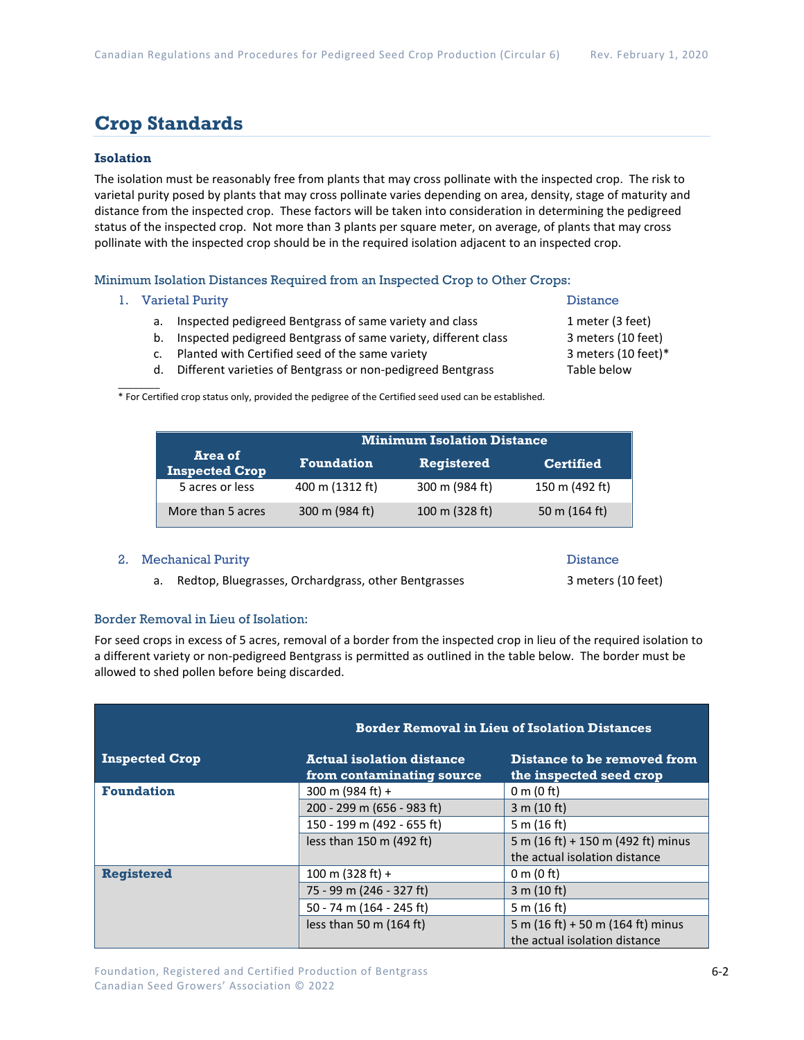## **Crop Standards**

## **Isolation**

The isolation must be reasonably free from plants that may cross pollinate with the inspected crop. The risk to varietal purity posed by plants that may cross pollinate varies depending on area, density, stage of maturity and distance from the inspected crop. These factors will be taken into consideration in determining the pedigreed status of the inspected crop. Not more than 3 plants per square meter, on average, of plants that may cross pollinate with the inspected crop should be in the required isolation adjacent to an inspected crop.

Minimum Isolation Distances Required from an Inspected Crop to Other Crops:

#### 1. Varietal Purity **Distance**

- a. Inspected pedigreed Bentgrass of same variety and class 1 meter (3 feet)
- b. Inspected pedigreed Bentgrass of same variety, different class 3 meters (10 feet)
- c. Planted with Certified seed of the same variety 3 meters (10 feet)\*
- d. Different varieties of Bentgrass or non-pedigreed Bentgrass Table below

 $\mathcal{L}$ \* For Certified crop status only, provided the pedigree of the Certified seed used can be established.

|                                  | <b>Minimum Isolation Distance</b> |                   |                  |
|----------------------------------|-----------------------------------|-------------------|------------------|
| Area of<br><b>Inspected Crop</b> | <b>Foundation</b>                 | <b>Registered</b> | <b>Certified</b> |
| 5 acres or less                  | 400 m (1312 ft)                   | 300 m (984 ft)    | 150 m (492 ft)   |
| More than 5 acres                | 300 m (984 ft)                    | 100 m (328 ft)    | 50 m (164 ft)    |

#### 2. Mechanical Purity **Distance** Distance

a. Redtop, Bluegrasses, Orchardgrass, other Bentgrasses 3 meters (10 feet)

#### Border Removal in Lieu of Isolation:

For seed crops in excess of 5 acres, removal of a border from the inspected crop in lieu of the required isolation to a different variety or non-pedigreed Bentgrass is permitted as outlined in the table below. The border must be allowed to shed pollen before being discarded.

|                       | <b>Border Removal in Lieu of Isolation Distances</b>          |                                                                    |  |  |
|-----------------------|---------------------------------------------------------------|--------------------------------------------------------------------|--|--|
| <b>Inspected Crop</b> | <b>Actual isolation distance</b><br>from contaminating source | Distance to be removed from<br>the inspected seed crop             |  |  |
| <b>Foundation</b>     | 300 m (984 ft) +                                              | $0 \text{ m}$ (0 ft)                                               |  |  |
|                       | 200 - 299 m (656 - 983 ft)                                    | 3 m (10 ft)                                                        |  |  |
|                       | 150 - 199 m (492 - 655 ft)                                    | 5 m $(16 ft)$                                                      |  |  |
|                       | less than 150 m (492 ft)                                      | 5 m (16 ft) + 150 m (492 ft) minus                                 |  |  |
|                       |                                                               | the actual isolation distance                                      |  |  |
| <b>Registered</b>     | 100 m $(328 ft) +$                                            | $0 \text{ m}$ (0 ft)                                               |  |  |
|                       | 75 - 99 m (246 - 327 ft)                                      | 3 m (10 ft)                                                        |  |  |
|                       | 50 - 74 m (164 - 245 ft)                                      | 5 m (16 ft)                                                        |  |  |
|                       | less than 50 m $(164 ft)$                                     | 5 m (16 ft) + 50 m (164 ft) minus<br>the actual isolation distance |  |  |